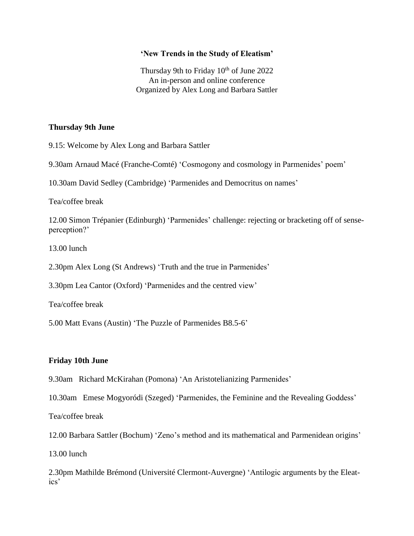## **'New Trends in the Study of Eleatism'**

Thursday 9th to Friday  $10<sup>th</sup>$  of June 2022 An in-person and online conference Organized by Alex Long and Barbara Sattler

## **Thursday 9th June**

9.15: Welcome by Alex Long and Barbara Sattler

9.30am Arnaud Macé (Franche-Comté) 'Cosmogony and cosmology in Parmenides' poem'

10.30am David Sedley (Cambridge) 'Parmenides and Democritus on names'

Tea/coffee break

12.00 Simon Trépanier (Edinburgh) 'Parmenides' challenge: rejecting or bracketing off of senseperception?'

13.00 lunch

2.30pm Alex Long (St Andrews) 'Truth and the true in Parmenides'

3.30pm Lea Cantor (Oxford) 'Parmenides and the centred view'

Tea/coffee break

5.00 Matt Evans (Austin) 'The Puzzle of Parmenides B8.5-6'

## **Friday 10th June**

9.30am Richard McKirahan (Pomona) 'An Aristotelianizing Parmenides'

10.30am Emese Mogyoródi (Szeged) 'Parmenides, the Feminine and the Revealing Goddess'

Tea/coffee break

12.00 Barbara Sattler (Bochum) 'Zeno's method and its mathematical and Parmenidean origins'

13.00 lunch

2.30pm Mathilde Brémond (Université Clermont-Auvergne) 'Antilogic arguments by the Eleatics'